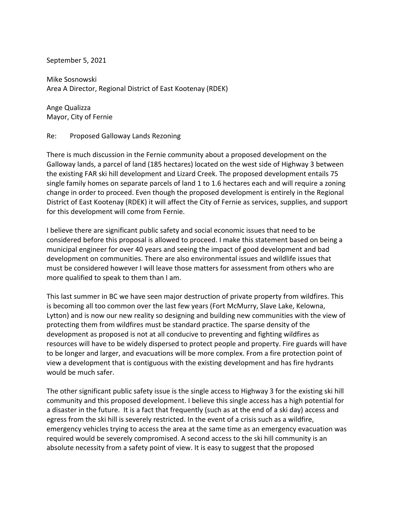September 5, 2021

Mike Sosnowski Area A Director, Regional District of East Kootenay (RDEK)

Ange Qualizza Mayor, City of Fernie

Re: Proposed Galloway Lands Rezoning

There is much discussion in the Fernie community about a proposed development on the Galloway lands, a parcel of land (185 hectares) located on the west side of Highway 3 between the existing FAR ski hill development and Lizard Creek. The proposed development entails 75 single family homes on separate parcels of land 1 to 1.6 hectares each and will require a zoning change in order to proceed. Even though the proposed development is entirely in the Regional District of East Kootenay (RDEK) it will affect the City of Fernie as services, supplies, and support for this development will come from Fernie.

I believe there are significant public safety and social economic issues that need to be considered before this proposal is allowed to proceed. I make this statement based on being a municipal engineer for over 40 years and seeing the impact of good development and bad development on communities. There are also environmental issues and wildlife issues that must be considered however I will leave those matters for assessment from others who are more qualified to speak to them than I am.

This last summer in BC we have seen major destruction of private property from wildfires. This is becoming all too common over the last few years (Fort McMurry, Slave Lake, Kelowna, Lytton) and is now our new reality so designing and building new communities with the view of protecting them from wildfires must be standard practice. The sparse density of the development as proposed is not at all conducive to preventing and fighting wildfires as resources will have to be widely dispersed to protect people and property. Fire guards will have to be longer and larger, and evacuations will be more complex. From a fire protection point of view a development that is contiguous with the existing development and has fire hydrants would be much safer.

The other significant public safety issue is the single access to Highway 3 for the existing ski hill community and this proposed development. I believe this single access has a high potential for a disaster in the future. It is a fact that frequently (such as at the end of a ski day) access and egress from the ski hill is severely restricted. In the event of a crisis such as a wildfire, emergency vehicles trying to access the area at the same time as an emergency evacuation was required would be severely compromised. A second access to the ski hill community is an absolute necessity from a safety point of view. It is easy to suggest that the proposed